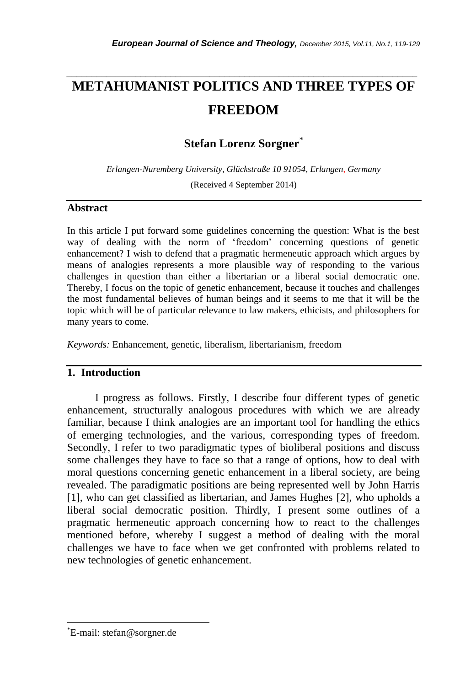# **METAHUMANIST POLITICS AND THREE TYPES OF FREEDOM**

*\_\_\_\_\_\_\_\_\_\_\_\_\_\_\_\_\_\_\_\_\_\_\_\_\_\_\_\_\_\_\_\_\_\_\_\_\_\_\_\_\_\_\_\_\_\_\_\_\_\_\_\_\_\_\_\_\_\_\_\_\_\_\_\_\_\_\_\_\_\_\_*

**Stefan Lorenz Sorgner**\*

*Erlangen-Nuremberg University, Glückstraße 10 91054, Erlangen*, *Germany* (Received 4 September 2014)

## **Abstract**

In this article I put forward some guidelines concerning the question: What is the best way of dealing with the norm of 'freedom' concerning questions of genetic enhancement? I wish to defend that a pragmatic hermeneutic approach which argues by means of analogies represents a more plausible way of responding to the various challenges in question than either a libertarian or a liberal social democratic one. Thereby, I focus on the topic of genetic enhancement, because it touches and challenges the most fundamental believes of human beings and it seems to me that it will be the topic which will be of particular relevance to law makers, ethicists, and philosophers for many years to come.

*Keywords:* Enhancement, genetic, liberalism, libertarianism, freedom

# **1. Introduction**

I progress as follows. Firstly, I describe four different types of genetic enhancement, structurally analogous procedures with which we are already familiar, because I think analogies are an important tool for handling the ethics of emerging technologies, and the various, corresponding types of freedom. Secondly, I refer to two paradigmatic types of bioliberal positions and discuss some challenges they have to face so that a range of options, how to deal with moral questions concerning genetic enhancement in a liberal society, are being revealed. The paradigmatic positions are being represented well by John Harris [1], who can get classified as libertarian, and James Hughes [2], who upholds a liberal social democratic position. Thirdly, I present some outlines of a pragmatic hermeneutic approach concerning how to react to the challenges mentioned before, whereby I suggest a method of dealing with the moral challenges we have to face when we get confronted with problems related to new technologies of genetic enhancement.

l

<sup>\*</sup>E-mail: stefan@sorgner.de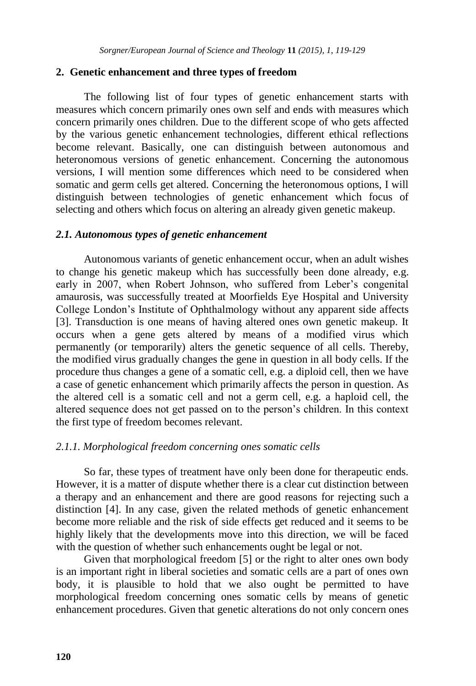#### **2. Genetic enhancement and three types of freedom**

The following list of four types of genetic enhancement starts with measures which concern primarily ones own self and ends with measures which concern primarily ones children. Due to the different scope of who gets affected by the various genetic enhancement technologies, different ethical reflections become relevant. Basically, one can distinguish between autonomous and heteronomous versions of genetic enhancement. Concerning the autonomous versions, I will mention some differences which need to be considered when somatic and germ cells get altered. Concerning the heteronomous options, I will distinguish between technologies of genetic enhancement which focus of selecting and others which focus on altering an already given genetic makeup.

#### *2.1. Autonomous types of genetic enhancement*

Autonomous variants of genetic enhancement occur, when an adult wishes to change his genetic makeup which has successfully been done already, e.g. early in 2007, when Robert Johnson, who suffered from Leber's congenital amaurosis, was successfully treated at Moorfields Eye Hospital and University College London's Institute of Ophthalmology without any apparent side affects [3]. Transduction is one means of having altered ones own genetic makeup. It occurs when a gene gets altered by means of a modified virus which permanently (or temporarily) alters the genetic sequence of all cells. Thereby, the modified virus gradually changes the gene in question in all body cells. If the procedure thus changes a gene of a somatic cell, e.g. a diploid cell, then we have a case of genetic enhancement which primarily affects the person in question. As the altered cell is a somatic cell and not a germ cell, e.g. a haploid cell, the altered sequence does not get passed on to the person's children. In this context the first type of freedom becomes relevant.

#### *2.1.1. Morphological freedom concerning ones somatic cells*

So far, these types of treatment have only been done for therapeutic ends. However, it is a matter of dispute whether there is a clear cut distinction between a therapy and an enhancement and there are good reasons for rejecting such a distinction [4]. In any case, given the related methods of genetic enhancement become more reliable and the risk of side effects get reduced and it seems to be highly likely that the developments move into this direction, we will be faced with the question of whether such enhancements ought be legal or not.

Given that morphological freedom [5] or the right to alter ones own body is an important right in liberal societies and somatic cells are a part of ones own body, it is plausible to hold that we also ought be permitted to have morphological freedom concerning ones somatic cells by means of genetic enhancement procedures. Given that genetic alterations do not only concern ones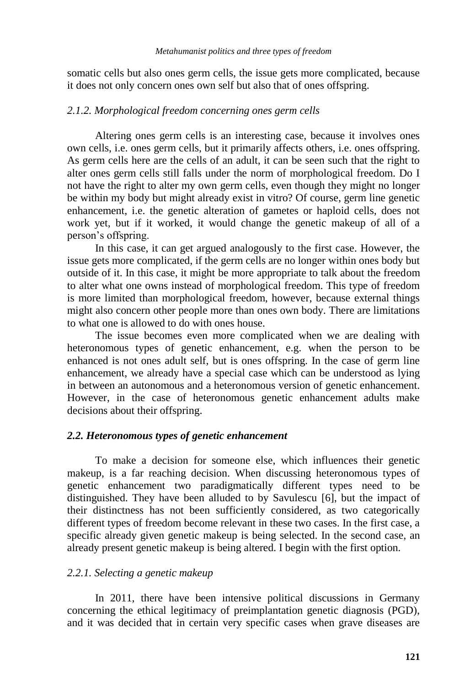somatic cells but also ones germ cells, the issue gets more complicated, because it does not only concern ones own self but also that of ones offspring.

## *2.1.2. Morphological freedom concerning ones germ cells*

Altering ones germ cells is an interesting case, because it involves ones own cells, i.e. ones germ cells, but it primarily affects others, i.e. ones offspring. As germ cells here are the cells of an adult, it can be seen such that the right to alter ones germ cells still falls under the norm of morphological freedom. Do I not have the right to alter my own germ cells, even though they might no longer be within my body but might already exist in vitro? Of course, germ line genetic enhancement, i.e. the genetic alteration of gametes or haploid cells, does not work yet, but if it worked, it would change the genetic makeup of all of a person's offspring.

In this case, it can get argued analogously to the first case. However, the issue gets more complicated, if the germ cells are no longer within ones body but outside of it. In this case, it might be more appropriate to talk about the freedom to alter what one owns instead of morphological freedom. This type of freedom is more limited than morphological freedom, however, because external things might also concern other people more than ones own body. There are limitations to what one is allowed to do with ones house.

The issue becomes even more complicated when we are dealing with heteronomous types of genetic enhancement, e.g. when the person to be enhanced is not ones adult self, but is ones offspring. In the case of germ line enhancement, we already have a special case which can be understood as lying in between an autonomous and a heteronomous version of genetic enhancement. However, in the case of heteronomous genetic enhancement adults make decisions about their offspring.

# *2.2. Heteronomous types of genetic enhancement*

To make a decision for someone else, which influences their genetic makeup, is a far reaching decision. When discussing heteronomous types of genetic enhancement two paradigmatically different types need to be distinguished. They have been alluded to by Savulescu [6], but the impact of their distinctness has not been sufficiently considered, as two categorically different types of freedom become relevant in these two cases. In the first case, a specific already given genetic makeup is being selected. In the second case, an already present genetic makeup is being altered. I begin with the first option.

## *2.2.1. Selecting a genetic makeup*

In 2011, there have been intensive political discussions in Germany concerning the ethical legitimacy of preimplantation genetic diagnosis (PGD), and it was decided that in certain very specific cases when grave diseases are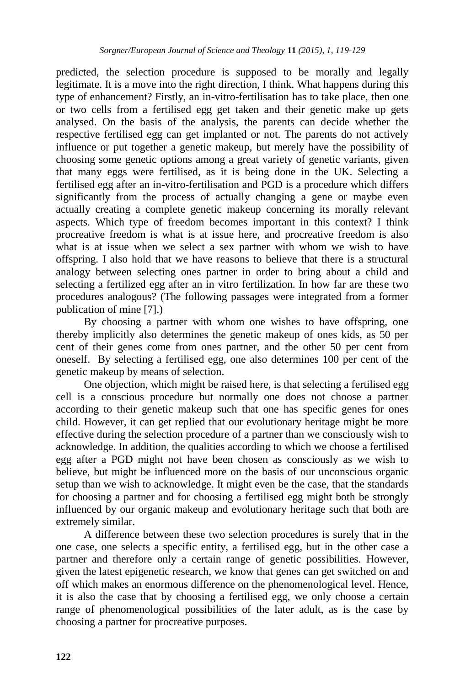predicted, the selection procedure is supposed to be morally and legally legitimate. It is a move into the right direction, I think. What happens during this type of enhancement? Firstly, an in-vitro-fertilisation has to take place, then one or two cells from a fertilised egg get taken and their genetic make up gets analysed. On the basis of the analysis, the parents can decide whether the respective fertilised egg can get implanted or not. The parents do not actively influence or put together a genetic makeup, but merely have the possibility of choosing some genetic options among a great variety of genetic variants, given that many eggs were fertilised, as it is being done in the UK. Selecting a fertilised egg after an in-vitro-fertilisation and PGD is a procedure which differs significantly from the process of actually changing a gene or maybe even actually creating a complete genetic makeup concerning its morally relevant aspects. Which type of freedom becomes important in this context? I think procreative freedom is what is at issue here, and procreative freedom is also what is at issue when we select a sex partner with whom we wish to have offspring. I also hold that we have reasons to believe that there is a structural analogy between selecting ones partner in order to bring about a child and selecting a fertilized egg after an in vitro fertilization. In how far are these two procedures analogous? (The following passages were integrated from a former publication of mine [7].)

By choosing a partner with whom one wishes to have offspring, one thereby implicitly also determines the genetic makeup of ones kids, as 50 per cent of their genes come from ones partner, and the other 50 per cent from oneself. By selecting a fertilised egg, one also determines 100 per cent of the genetic makeup by means of selection.

One objection, which might be raised here, is that selecting a fertilised egg cell is a conscious procedure but normally one does not choose a partner according to their genetic makeup such that one has specific genes for ones child. However, it can get replied that our evolutionary heritage might be more effective during the selection procedure of a partner than we consciously wish to acknowledge. In addition, the qualities according to which we choose a fertilised egg after a PGD might not have been chosen as consciously as we wish to believe, but might be influenced more on the basis of our unconscious organic setup than we wish to acknowledge. It might even be the case, that the standards for choosing a partner and for choosing a fertilised egg might both be strongly influenced by our organic makeup and evolutionary heritage such that both are extremely similar.

A difference between these two selection procedures is surely that in the one case, one selects a specific entity, a fertilised egg, but in the other case a partner and therefore only a certain range of genetic possibilities. However, given the latest epigenetic research, we know that genes can get switched on and off which makes an enormous difference on the phenomenological level. Hence, it is also the case that by choosing a fertilised egg, we only choose a certain range of phenomenological possibilities of the later adult, as is the case by choosing a partner for procreative purposes.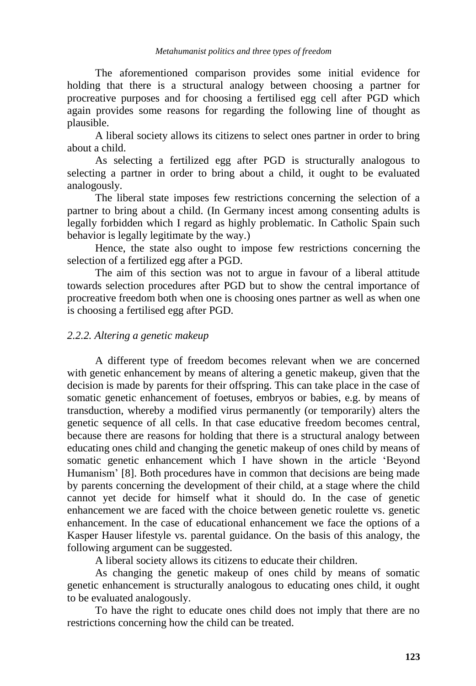The aforementioned comparison provides some initial evidence for holding that there is a structural analogy between choosing a partner for procreative purposes and for choosing a fertilised egg cell after PGD which again provides some reasons for regarding the following line of thought as plausible.

A liberal society allows its citizens to select ones partner in order to bring about a child.

As selecting a fertilized egg after PGD is structurally analogous to selecting a partner in order to bring about a child, it ought to be evaluated analogously.

The liberal state imposes few restrictions concerning the selection of a partner to bring about a child. (In Germany incest among consenting adults is legally forbidden which I regard as highly problematic. In Catholic Spain such behavior is legally legitimate by the way.)

Hence, the state also ought to impose few restrictions concerning the selection of a fertilized egg after a PGD.

The aim of this section was not to argue in favour of a liberal attitude towards selection procedures after PGD but to show the central importance of procreative freedom both when one is choosing ones partner as well as when one is choosing a fertilised egg after PGD.

## *2.2.2. Altering a genetic makeup*

A different type of freedom becomes relevant when we are concerned with genetic enhancement by means of altering a genetic makeup, given that the decision is made by parents for their offspring. This can take place in the case of somatic genetic enhancement of foetuses, embryos or babies, e.g. by means of transduction, whereby a modified virus permanently (or temporarily) alters the genetic sequence of all cells. In that case educative freedom becomes central, because there are reasons for holding that there is a structural analogy between educating ones child and changing the genetic makeup of ones child by means of somatic genetic enhancement which I have shown in the article 'Beyond Humanism' [8]. Both procedures have in common that decisions are being made by parents concerning the development of their child, at a stage where the child cannot yet decide for himself what it should do. In the case of genetic enhancement we are faced with the choice between genetic roulette vs. genetic enhancement. In the case of educational enhancement we face the options of a Kasper Hauser lifestyle vs. parental guidance. On the basis of this analogy, the following argument can be suggested.

A liberal society allows its citizens to educate their children.

As changing the genetic makeup of ones child by means of somatic genetic enhancement is structurally analogous to educating ones child, it ought to be evaluated analogously.

To have the right to educate ones child does not imply that there are no restrictions concerning how the child can be treated.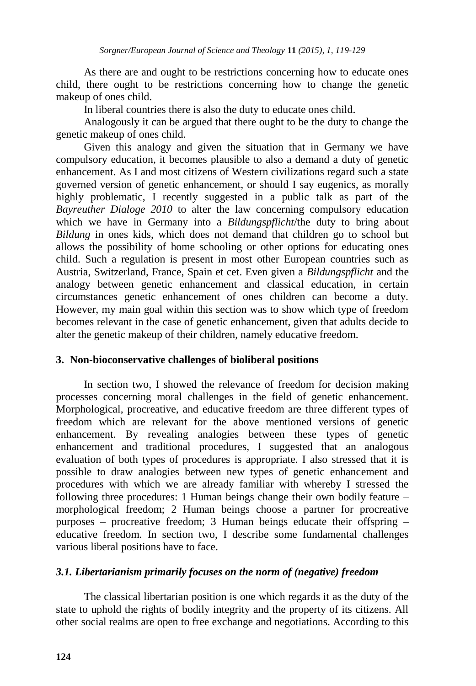As there are and ought to be restrictions concerning how to educate ones child, there ought to be restrictions concerning how to change the genetic makeup of ones child.

In liberal countries there is also the duty to educate ones child.

Analogously it can be argued that there ought to be the duty to change the genetic makeup of ones child.

Given this analogy and given the situation that in Germany we have compulsory education, it becomes plausible to also a demand a duty of genetic enhancement. As I and most citizens of Western civilizations regard such a state governed version of genetic enhancement, or should I say eugenics, as morally highly problematic, I recently suggested in a public talk as part of the *Bayreuther Dialoge 2010* to alter the law concerning compulsory education which we have in Germany into a *Bildungspflicht*/the duty to bring about *Bildung* in ones kids, which does not demand that children go to school but allows the possibility of home schooling or other options for educating ones child. Such a regulation is present in most other European countries such as Austria, Switzerland, France, Spain et cet. Even given a *Bildungspflicht* and the analogy between genetic enhancement and classical education, in certain circumstances genetic enhancement of ones children can become a duty. However, my main goal within this section was to show which type of freedom becomes relevant in the case of genetic enhancement, given that adults decide to alter the genetic makeup of their children, namely educative freedom.

# **3. Non-bioconservative challenges of bioliberal positions**

In section two, I showed the relevance of freedom for decision making processes concerning moral challenges in the field of genetic enhancement. Morphological, procreative, and educative freedom are three different types of freedom which are relevant for the above mentioned versions of genetic enhancement. By revealing analogies between these types of genetic enhancement and traditional procedures, I suggested that an analogous evaluation of both types of procedures is appropriate. I also stressed that it is possible to draw analogies between new types of genetic enhancement and procedures with which we are already familiar with whereby I stressed the following three procedures: 1 Human beings change their own bodily feature – morphological freedom; 2 Human beings choose a partner for procreative purposes – procreative freedom; 3 Human beings educate their offspring – educative freedom. In section two, I describe some fundamental challenges various liberal positions have to face.

# *3.1. Libertarianism primarily focuses on the norm of (negative) freedom*

The classical libertarian position is one which regards it as the duty of the state to uphold the rights of bodily integrity and the property of its citizens. All other social realms are open to free exchange and negotiations. According to this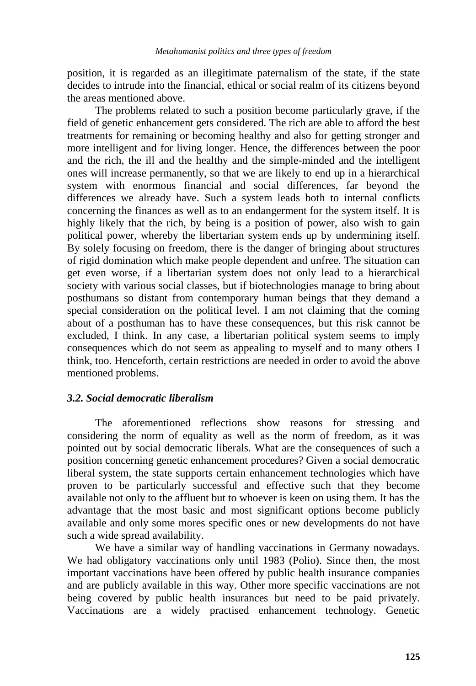position, it is regarded as an illegitimate paternalism of the state, if the state decides to intrude into the financial, ethical or social realm of its citizens beyond the areas mentioned above.

The problems related to such a position become particularly grave, if the field of genetic enhancement gets considered. The rich are able to afford the best treatments for remaining or becoming healthy and also for getting stronger and more intelligent and for living longer. Hence, the differences between the poor and the rich, the ill and the healthy and the simple-minded and the intelligent ones will increase permanently, so that we are likely to end up in a hierarchical system with enormous financial and social differences, far beyond the differences we already have. Such a system leads both to internal conflicts concerning the finances as well as to an endangerment for the system itself. It is highly likely that the rich, by being is a position of power, also wish to gain political power, whereby the libertarian system ends up by undermining itself. By solely focusing on freedom, there is the danger of bringing about structures of rigid domination which make people dependent and unfree. The situation can get even worse, if a libertarian system does not only lead to a hierarchical society with various social classes, but if biotechnologies manage to bring about posthumans so distant from contemporary human beings that they demand a special consideration on the political level. I am not claiming that the coming about of a posthuman has to have these consequences, but this risk cannot be excluded, I think. In any case, a libertarian political system seems to imply consequences which do not seem as appealing to myself and to many others I think, too. Henceforth, certain restrictions are needed in order to avoid the above mentioned problems.

# *3.2. Social democratic liberalism*

The aforementioned reflections show reasons for stressing and considering the norm of equality as well as the norm of freedom, as it was pointed out by social democratic liberals. What are the consequences of such a position concerning genetic enhancement procedures? Given a social democratic liberal system, the state supports certain enhancement technologies which have proven to be particularly successful and effective such that they become available not only to the affluent but to whoever is keen on using them. It has the advantage that the most basic and most significant options become publicly available and only some mores specific ones or new developments do not have such a wide spread availability.

We have a similar way of handling vaccinations in Germany nowadays. We had obligatory vaccinations only until 1983 (Polio). Since then, the most important vaccinations have been offered by public health insurance companies and are publicly available in this way. Other more specific vaccinations are not being covered by public health insurances but need to be paid privately. Vaccinations are a widely practised enhancement technology. Genetic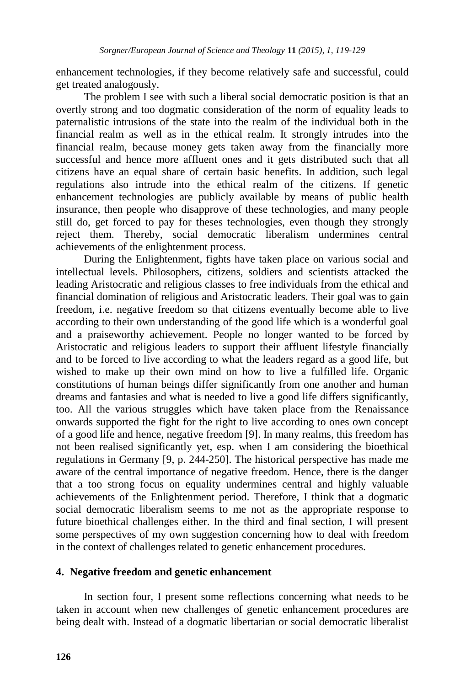enhancement technologies, if they become relatively safe and successful, could get treated analogously.

The problem I see with such a liberal social democratic position is that an overtly strong and too dogmatic consideration of the norm of equality leads to paternalistic intrusions of the state into the realm of the individual both in the financial realm as well as in the ethical realm. It strongly intrudes into the financial realm, because money gets taken away from the financially more successful and hence more affluent ones and it gets distributed such that all citizens have an equal share of certain basic benefits. In addition, such legal regulations also intrude into the ethical realm of the citizens. If genetic enhancement technologies are publicly available by means of public health insurance, then people who disapprove of these technologies, and many people still do, get forced to pay for theses technologies, even though they strongly reject them. Thereby, social democratic liberalism undermines central achievements of the enlightenment process.

During the Enlightenment, fights have taken place on various social and intellectual levels. Philosophers, citizens, soldiers and scientists attacked the leading Aristocratic and religious classes to free individuals from the ethical and financial domination of religious and Aristocratic leaders. Their goal was to gain freedom, i.e. negative freedom so that citizens eventually become able to live according to their own understanding of the good life which is a wonderful goal and a praiseworthy achievement. People no longer wanted to be forced by Aristocratic and religious leaders to support their affluent lifestyle financially and to be forced to live according to what the leaders regard as a good life, but wished to make up their own mind on how to live a fulfilled life. Organic constitutions of human beings differ significantly from one another and human dreams and fantasies and what is needed to live a good life differs significantly, too. All the various struggles which have taken place from the Renaissance onwards supported the fight for the right to live according to ones own concept of a good life and hence, negative freedom [9]. In many realms, this freedom has not been realised significantly yet, esp. when I am considering the bioethical regulations in Germany [9, p. 244-250]. The historical perspective has made me aware of the central importance of negative freedom. Hence, there is the danger that a too strong focus on equality undermines central and highly valuable achievements of the Enlightenment period. Therefore, I think that a dogmatic social democratic liberalism seems to me not as the appropriate response to future bioethical challenges either. In the third and final section, I will present some perspectives of my own suggestion concerning how to deal with freedom in the context of challenges related to genetic enhancement procedures.

# **4. Negative freedom and genetic enhancement**

In section four, I present some reflections concerning what needs to be taken in account when new challenges of genetic enhancement procedures are being dealt with. Instead of a dogmatic libertarian or social democratic liberalist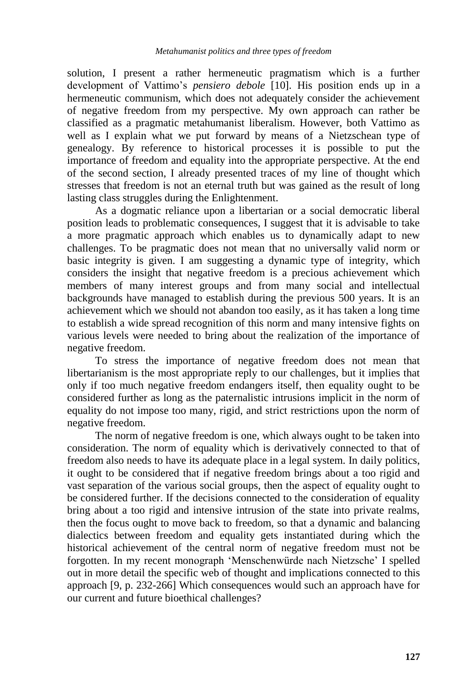solution, I present a rather hermeneutic pragmatism which is a further development of Vattimo's *pensiero debole* [10]. His position ends up in a hermeneutic communism, which does not adequately consider the achievement of negative freedom from my perspective. My own approach can rather be classified as a pragmatic metahumanist liberalism. However, both Vattimo as well as I explain what we put forward by means of a Nietzschean type of genealogy. By reference to historical processes it is possible to put the importance of freedom and equality into the appropriate perspective. At the end of the second section, I already presented traces of my line of thought which stresses that freedom is not an eternal truth but was gained as the result of long lasting class struggles during the Enlightenment.

As a dogmatic reliance upon a libertarian or a social democratic liberal position leads to problematic consequences, I suggest that it is advisable to take a more pragmatic approach which enables us to dynamically adapt to new challenges. To be pragmatic does not mean that no universally valid norm or basic integrity is given. I am suggesting a dynamic type of integrity, which considers the insight that negative freedom is a precious achievement which members of many interest groups and from many social and intellectual backgrounds have managed to establish during the previous 500 years. It is an achievement which we should not abandon too easily, as it has taken a long time to establish a wide spread recognition of this norm and many intensive fights on various levels were needed to bring about the realization of the importance of negative freedom.

To stress the importance of negative freedom does not mean that libertarianism is the most appropriate reply to our challenges, but it implies that only if too much negative freedom endangers itself, then equality ought to be considered further as long as the paternalistic intrusions implicit in the norm of equality do not impose too many, rigid, and strict restrictions upon the norm of negative freedom.

The norm of negative freedom is one, which always ought to be taken into consideration. The norm of equality which is derivatively connected to that of freedom also needs to have its adequate place in a legal system. In daily politics, it ought to be considered that if negative freedom brings about a too rigid and vast separation of the various social groups, then the aspect of equality ought to be considered further. If the decisions connected to the consideration of equality bring about a too rigid and intensive intrusion of the state into private realms, then the focus ought to move back to freedom, so that a dynamic and balancing dialectics between freedom and equality gets instantiated during which the historical achievement of the central norm of negative freedom must not be forgotten. In my recent monograph 'Menschenwürde nach Nietzsche' I spelled out in more detail the specific web of thought and implications connected to this approach [9, p. 232-266] Which consequences would such an approach have for our current and future bioethical challenges?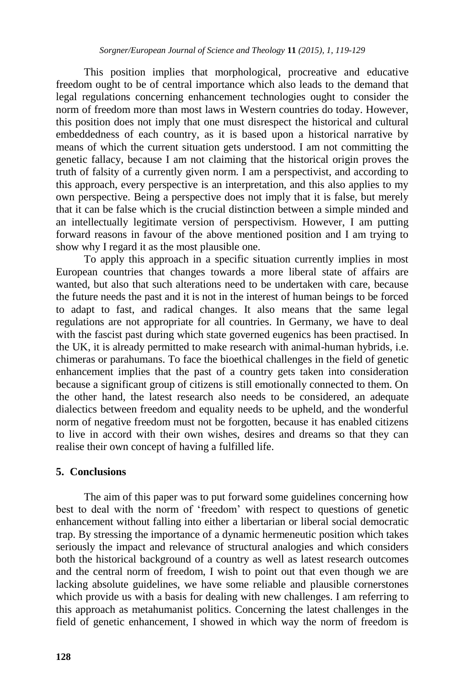This position implies that morphological, procreative and educative freedom ought to be of central importance which also leads to the demand that legal regulations concerning enhancement technologies ought to consider the norm of freedom more than most laws in Western countries do today. However, this position does not imply that one must disrespect the historical and cultural embeddedness of each country, as it is based upon a historical narrative by means of which the current situation gets understood. I am not committing the genetic fallacy, because I am not claiming that the historical origin proves the truth of falsity of a currently given norm. I am a perspectivist, and according to this approach, every perspective is an interpretation, and this also applies to my own perspective. Being a perspective does not imply that it is false, but merely that it can be false which is the crucial distinction between a simple minded and an intellectually legitimate version of perspectivism. However, I am putting forward reasons in favour of the above mentioned position and I am trying to show why I regard it as the most plausible one.

To apply this approach in a specific situation currently implies in most European countries that changes towards a more liberal state of affairs are wanted, but also that such alterations need to be undertaken with care, because the future needs the past and it is not in the interest of human beings to be forced to adapt to fast, and radical changes. It also means that the same legal regulations are not appropriate for all countries. In Germany, we have to deal with the fascist past during which state governed eugenics has been practised. In the UK, it is already permitted to make research with animal-human hybrids, i.e. chimeras or parahumans. To face the bioethical challenges in the field of genetic enhancement implies that the past of a country gets taken into consideration because a significant group of citizens is still emotionally connected to them. On the other hand, the latest research also needs to be considered, an adequate dialectics between freedom and equality needs to be upheld, and the wonderful norm of negative freedom must not be forgotten, because it has enabled citizens to live in accord with their own wishes, desires and dreams so that they can realise their own concept of having a fulfilled life.

#### **5. Conclusions**

The aim of this paper was to put forward some guidelines concerning how best to deal with the norm of 'freedom' with respect to questions of genetic enhancement without falling into either a libertarian or liberal social democratic trap. By stressing the importance of a dynamic hermeneutic position which takes seriously the impact and relevance of structural analogies and which considers both the historical background of a country as well as latest research outcomes and the central norm of freedom, I wish to point out that even though we are lacking absolute guidelines, we have some reliable and plausible cornerstones which provide us with a basis for dealing with new challenges. I am referring to this approach as metahumanist politics. Concerning the latest challenges in the field of genetic enhancement, I showed in which way the norm of freedom is